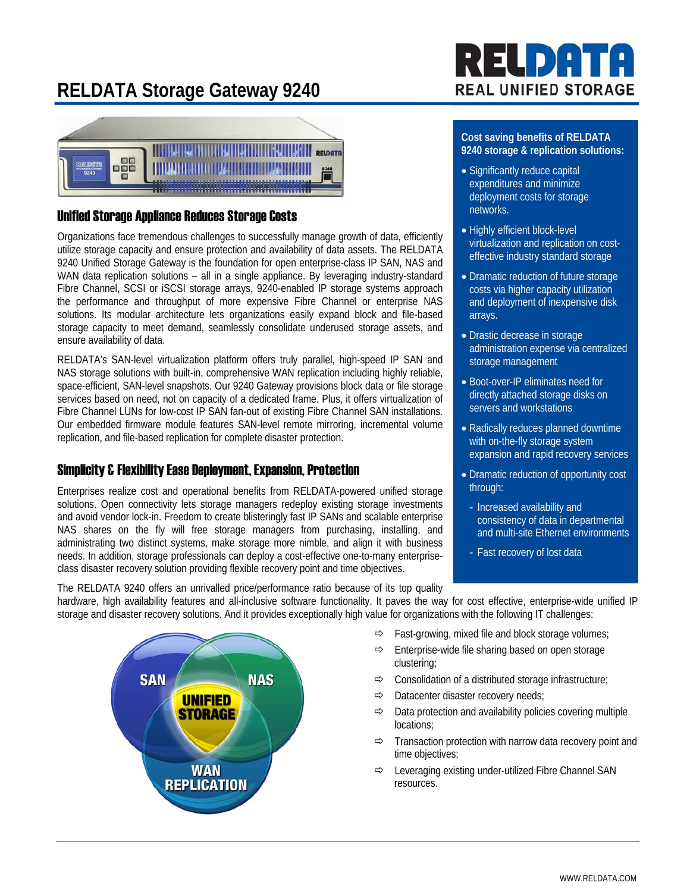## **RELDATA Storage Gateway 9240**



### Unified Storage Appliance Reduces Storage Costs

Organizations face tremendous challenges to successfully manage growth of data, efficiently utilize storage capacity and ensure protection and availability of data assets. The RELDATA 9240 Unified Storage Gateway is the foundation for open enterprise-class IP SAN, NAS and WAN data replication solutions – all in a single appliance. By leveraging industry-standard Fibre Channel, SCSI or iSCSI storage arrays, 9240-enabled IP storage systems approach the performance and throughput of more expensive Fibre Channel or enterprise NAS solutions. Its modular architecture lets organizations easily expand block and file-based storage capacity to meet demand, seamlessly consolidate underused storage assets, and ensure availability of data.

RELDATA's SAN-level virtualization platform offers truly parallel, high-speed IP SAN and NAS storage solutions with built-in, comprehensive WAN replication including highly reliable, space-efficient, SAN-level snapshots. Our 9240 Gateway provisions block data or file storage services based on need, not on capacity of a dedicated frame. Plus, it offers virtualization of Fibre Channel LUNs for low-cost IP SAN fan-out of existing Fibre Channel SAN installations. Our embedded firmware module features SAN-level remote mirroring, incremental volume replication, and file-based replication for complete disaster protection.

### Simplicity & Flexibility Ease Deployment, Expansion, Protection

Enterprises realize cost and operational benefits from RELDATA-powered unified storage solutions. Open connectivity lets storage managers redeploy existing storage investments and avoid vendor lock-in. Freedom to create blisteringly fast IP SANs and scalable enterprise NAS shares on the fly will free storage managers from purchasing, installing, and administrating two distinct systems, make storage more nimble, and align it with business needs. In addition, storage professionals can deploy a cost-effective one-to-many enterpriseclass disaster recovery solution providing flexible recovery point and time objectives.

# ELDAT **REAL UNIFIED STORAGE**

### **Cost saving benefits of RELDATA 9240 storage & replication solutions:**

- Significantly reduce capital expenditures and minimize deployment costs for storage networks.
- Highly efficient block-level virtualization and replication on costeffective industry standard storage
- Dramatic reduction of future storage costs via higher capacity utilization and deployment of inexpensive disk arrays.
- Drastic decrease in storage administration expense via centralized storage management
- Boot-over-IP eliminates need for directly attached storage disks on servers and workstations
- Radically reduces planned downtime with on-the-fly storage system expansion and rapid recovery services
- Dramatic reduction of opportunity cost through:
- Increased availability and consistency of data in departmental and multi-site Ethernet environments
- Fast recovery of lost data

The RELDATA 9240 offers an unrivalled price/performance ratio because of its top quality hardware, high availability features and all-inclusive software functionality. It paves the way for cost effective, enterprise-wide unified IP storage and disaster recovery solutions. And it provides exceptionally high value for organizations with the following IT challenges:



- $\Rightarrow$  Fast-growing, mixed file and block storage volumes;
- $\Rightarrow$  Enterprise-wide file sharing based on open storage clustering;
- $\Rightarrow$  Consolidation of a distributed storage infrastructure;
- $\Rightarrow$  Datacenter disaster recovery needs;
- $\Rightarrow$  Data protection and availability policies covering multiple locations;
- $\Rightarrow$  Transaction protection with narrow data recovery point and time objectives;
- $\Rightarrow$  Leveraging existing under-utilized Fibre Channel SAN resources.